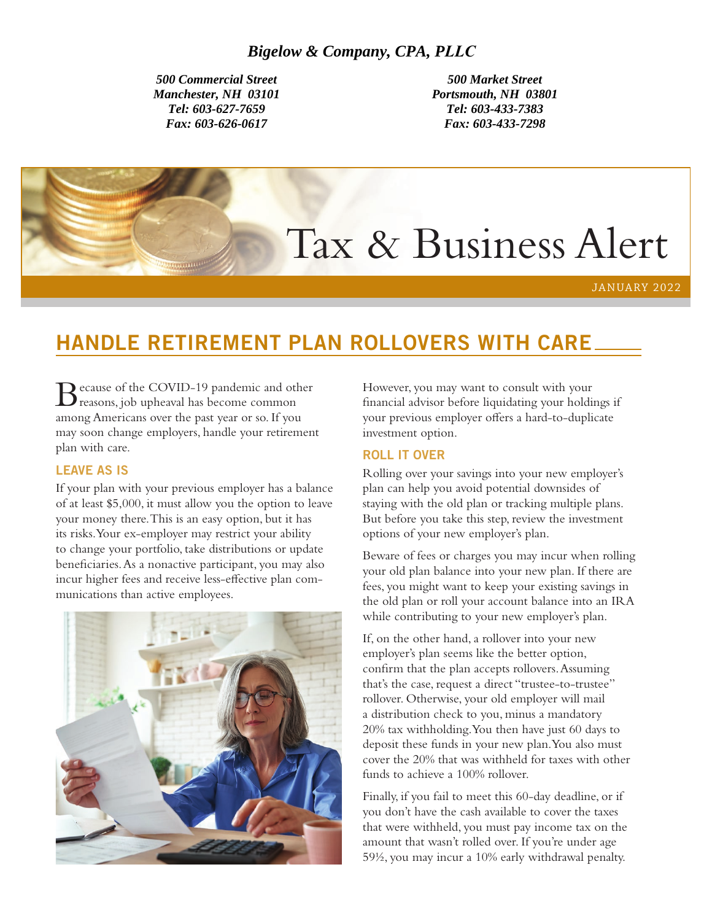*500 Commercial Street Manchester, NH 03101 Tel: 603-627-7659 Fax: 603-626-0617*

*500 Market Street Portsmouth, NH 03801 Tel: 603-433-7383 Fax: 603-433-7298* 

# Tax & Business Alert

JANUARY 2022

# HANDLE RETIREMENT PLAN ROLLOVERS WITH CARE

Because of the COVID-19 pandemic and other reasons, job upheaval has become common among Americans over the past year or so. If you may soon change employers, handle your retirement plan with care.

#### LEAVE AS IS

If your plan with your previous employer has a balance of at least \$5,000, it must allow you the option to leave your money there. This is an easy option, but it has its risks. Your ex-employer may restrict your ability to change your portfolio, take distributions or update beneficiaries. As a nonactive participant, you may also incur higher fees and receive less-effective plan communications than active employees.



However, you may want to consult with your financial advisor before liquidating your holdings if your previous employer offers a hard-to-duplicate investment option.

#### ROLL IT OVER

Rolling over your savings into your new employer's plan can help you avoid potential downsides of staying with the old plan or tracking multiple plans. But before you take this step, review the investment options of your new employer's plan.

Beware of fees or charges you may incur when rolling your old plan balance into your new plan. If there are fees, you might want to keep your existing savings in the old plan or roll your account balance into an IRA while contributing to your new employer's plan.

If, on the other hand, a rollover into your new employer's plan seems like the better option, confirm that the plan accepts rollovers. Assuming that's the case, request a direct "trustee-to-trustee" rollover. Otherwise, your old employer will mail a distribution check to you, minus a mandatory 20% tax withholding. You then have just 60 days to deposit these funds in your new plan. You also must cover the 20% that was withheld for taxes with other funds to achieve a 100% rollover.

Finally, if you fail to meet this 60-day deadline, or if you don't have the cash available to cover the taxes that were withheld, you must pay income tax on the amount that wasn't rolled over. If you're under age 59½, you may incur a 10% early withdrawal penalty.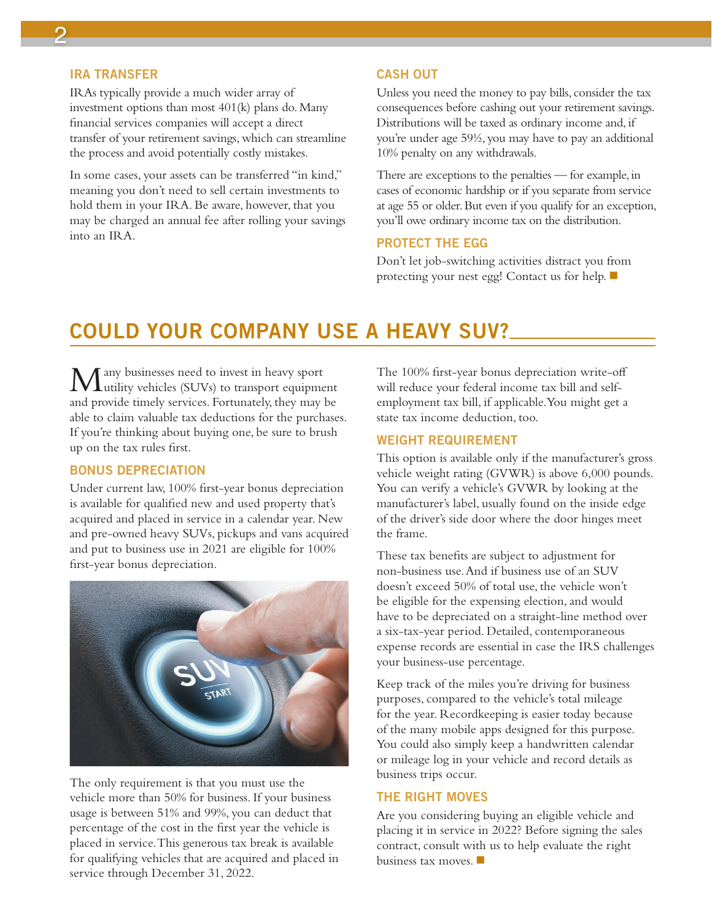### 2

#### IRA TRANSFER

IRAs typically provide a much wider array of investment options than most 401(k) plans do. Many financial services companies will accept a direct transfer of your retirement savings, which can streamline the process and avoid potentially costly mistakes.

In some cases, your assets can be transferred "in kind," meaning you don't need to sell certain investments to hold them in your IRA. Be aware, however, that you may be charged an annual fee after rolling your savings into an IRA.

#### CASH OUT

Unless you need the money to pay bills, consider the tax consequences before cashing out your retirement savings. Distributions will be taxed as ordinary income and, if you're under age 59½, you may have to pay an additional 10% penalty on any withdrawals.

There are exceptions to the penalties — for example, in cases of economic hardship or if you separate from service at age 55 or older. But even if you qualify for an exception, you'll owe ordinary income tax on the distribution.

#### PROTECT THE EGG

Don't let job-switching activities distract you from protecting your nest egg! Contact us for help.  $\blacksquare$ 

### COULD YOUR COMPANY USE A HEAVY SUV?

Many businesses need to invest in heavy sport utility vehicles (SUVs) to transport equipment and provide timely services. Fortunately, they may be able to claim valuable tax deductions for the purchases. If you're thinking about buying one, be sure to brush up on the tax rules first.

#### BONUS DEPRECIATION

Under current law, 100% first-year bonus depreciation is available for qualified new and used property that's acquired and placed in service in a calendar year. New and pre-owned heavy SUVs, pickups and vans acquired and put to business use in 2021 are eligible for 100% first-year bonus depreciation.



The only requirement is that you must use the vehicle more than 50% for business. If your business usage is between 51% and 99%, you can deduct that percentage of the cost in the first year the vehicle is placed in service. This generous tax break is available for qualifying vehicles that are acquired and placed in service through December 31, 2022.

The 100% first-year bonus depreciation write-off will reduce your federal income tax bill and selfemployment tax bill, if applicable. You might get a state tax income deduction, too.

#### WEIGHT REQUIREMENT

This option is available only if the manufacturer's gross vehicle weight rating (GVWR) is above 6,000 pounds. You can verify a vehicle's GVWR by looking at the manufacturer's label, usually found on the inside edge of the driver's side door where the door hinges meet the frame.

These tax benefits are subject to adjustment for non-business use. And if business use of an SUV doesn't exceed 50% of total use, the vehicle won't be eligible for the expensing election, and would have to be depreciated on a straight-line method over a six-tax-year period. Detailed, contemporaneous expense records are essential in case the IRS challenges your business-use percentage.

Keep track of the miles you're driving for business purposes, compared to the vehicle's total mileage for the year. Recordkeeping is easier today because of the many mobile apps designed for this purpose. You could also simply keep a handwritten calendar or mileage log in your vehicle and record details as business trips occur.

#### THE RIGHT MOVES

Are you considering buying an eligible vehicle and placing it in service in 2022? Before signing the sales contract, consult with us to help evaluate the right business tax moves.  $\blacksquare$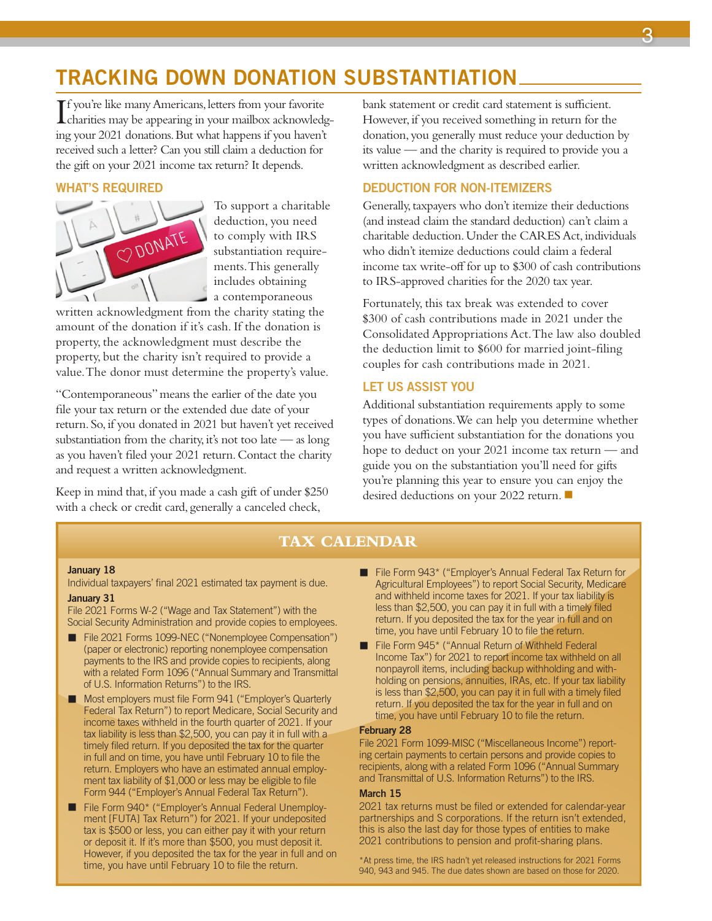## TRACKING DOWN DONATION SUBSTANTIATION

If you're like many Americans, letters from your favorite<br>charities may be appearing in your mailbox acknowledge **L** charities may be appearing in your mailbox acknowledging your 2021 donations. But what happens if you haven't received such a letter? Can you still claim a deduction for the gift on your 2021 income tax return? It depends.

#### WHAT'S REQUIRED



To support a charitable deduction, you need to comply with IRS substantiation requirements. This generally includes obtaining a contemporaneous

written acknowledgment from the charity stating the amount of the donation if it's cash. If the donation is property, the acknowledgment must describe the property, but the charity isn't required to provide a value. The donor must determine the property's value.

"Contemporaneous" means the earlier of the date you file your tax return or the extended due date of your return. So, if you donated in 2021 but haven't yet received substantiation from the charity, it's not too late — as long as you haven't filed your 2021 return. Contact the charity and request a written acknowledgment.

Keep in mind that, if you made a cash gift of under \$250 with a check or credit card, generally a canceled check,

bank statement or credit card statement is sufficient. However, if you received something in return for the donation, you generally must reduce your deduction by its value — and the charity is required to provide you a written acknowledgment as described earlier.

#### DEDUCTION FOR NON-ITEMIZERS

Generally, taxpayers who don't itemize their deductions (and instead claim the standard deduction) can't claim a charitable deduction. Under the CARES Act, individuals who didn't itemize deductions could claim a federal income tax write-off for up to \$300 of cash contributions to IRS-approved charities for the 2020 tax year.

Fortunately, this tax break was extended to cover \$300 of cash contributions made in 2021 under the Consolidated Appropriations Act. The law also doubled the deduction limit to \$600 for married joint-filing couples for cash contributions made in 2021.

#### LET US ASSIST YOU

Additional substantiation requirements apply to some types of donations. We can help you determine whether you have sufficient substantiation for the donations you hope to deduct on your 2021 income tax return — and guide you on the substantiation you'll need for gifts you're planning this year to ensure you can enjoy the desired deductions on your 2022 return.  $\blacksquare$ 

#### **TAX CALENDAR**

#### January 18

Individual taxpayers' final 2021 estimated tax payment is due. January 31

File 2021 Forms W-2 ("Wage and Tax Statement") with the Social Security Administration and provide copies to employees.

- File 2021 Forms 1099-NEC ("Nonemployee Compensation") (paper or electronic) reporting nonemployee compensation payments to the IRS and provide copies to recipients, along with a related Form 1096 ("Annual Summary and Transmittal of U.S. Information Returns") to the IRS.
- Most employers must file Form 941 ("Employer's Quarterly Federal Tax Return") to report Medicare, Social Security and income taxes withheld in the fourth quarter of 2021. If your tax liability is less than \$2,500, you can pay it in full with a timely filed return. If you deposited the tax for the quarter in full and on time, you have until February 10 to file the return. Employers who have an estimated annual employment tax liability of \$1,000 or less may be eligible to file Form 944 ("Employer's Annual Federal Tax Return").
- File Form 940\* ("Employer's Annual Federal Unemployment [FUTA] Tax Return") for 2021. If your undeposited tax is \$500 or less, you can either pay it with your return or deposit it. If it's more than \$500, you must deposit it. However, if you deposited the tax for the year in full and on time, you have until February 10 to file the return.
- $\blacksquare$  File Form 943\* ("Employer's Annual Federal Tax Return for Agricultural Employees") to report Social Security, Medicare and withheld income taxes for 2021. If your tax liability is less than \$2,500, you can pay it in full with a timely filed return. If you deposited the tax for the year in full and on time, you have until February 10 to file the return.
- File Form 945\* ("Annual Return of Withheld Federal Income Tax") for 2021 to report income tax withheld on all nonpayroll items, including backup withholding and withholding on pensions, annuities, IRAs, etc. If your tax liability is less than \$2,500, you can pay it in full with a timely filed return. If you deposited the tax for the year in full and on time, you have until February 10 to file the return.

#### February 28

File 2021 Form 1099-MISC ("Miscellaneous Income") reporting certain payments to certain persons and provide copies to recipients, along with a related Form 1096 ("Annual Summary and Transmittal of U.S. Information Returns") to the IRS.

#### March 15

2021 tax returns must be filed or extended for calendar-year partnerships and S corporations. If the return isn't extended, this is also the last day for those types of entities to make 2021 contributions to pension and profit-sharing plans.

\*At press time, the IRS hadn't yet released instructions for 2021 Forms 940, 943 and 945. The due dates shown are based on those for 2020.